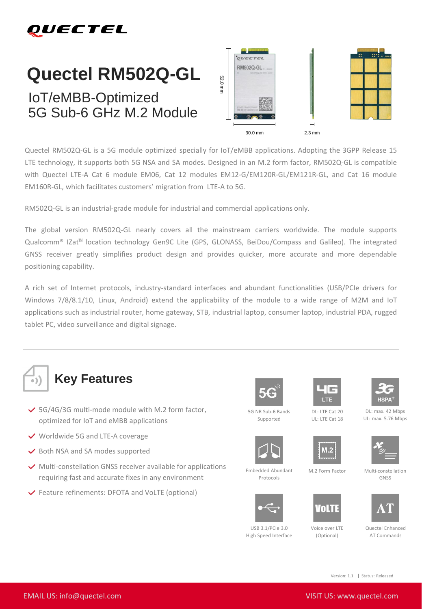

## **Quectel RM502Q-GL**

## IoT/eMBB-Optimized 5G Sub-6 GHz M.2 Module



Quectel RM502Q-GL is a 5G module optimized specially for IoT/eMBB applications. Adopting the 3GPP Release 15 LTE technology, it supports both 5G NSA and SA modes. Designed in an M.2 form factor, RM502Q-GL is compatible with Quectel LTE-A Cat 6 module EM06, Cat 12 modules EM12-G/EM120R-GL/EM121R-GL, and Cat 16 module EM160R-GL, which facilitates customers' migration from LTE-A to 5G.

RM502Q-GL is an industrial-grade module for industrial and commercial applications only.

The global version RM502Q-GL nearly covers all the mainstream carriers worldwide. The module supports Qualcomm® IZat™ location technology Gen9C Lite (GPS, GLONASS, BeiDou/Compass and Galileo). The integrated GNSS receiver greatly simplifies product design and provides quicker, more accurate and more dependable positioning capability.

A rich set of Internet protocols, industry-standard interfaces and abundant functionalities (USB/PCIe drivers for Windows 7/8/8.1/10, Linux, Android) extend the applicability of the module to a wide range of M2M and IoT applications such as industrial router, home gateway, STB, industrial laptop, consumer laptop, industrial PDA, rugged tablet PC, video surveillance and digital signage.



- $\checkmark$  5G/4G/3G multi-mode module with M.2 form factor, optimized for IoT and eMBB applications
- **◆** Worldwide 5G and LTE-A coverage
- $\vee$  Both NSA and SA modes supported
- $\vee$  Multi-constellation GNSS receiver available for applications requiring fast and accurate fixes in any environment
- Feature refinements: DFOTA and VoLTE (optional)









DL: max. 42 Mbps UL: max. 5.76 Mbps



Embedded Abundant Protocols



 $IISB 3.1/PCI<sub>P</sub> 3.0$ High Speed Interface





Voice over LTE (Optional)

AT

GNSS

AT Commands

Version: 1.1 | Status: Released

5G NR Sub-6 Bands Supported

DL: LTE Cat 20 UL: LTE Cat 18





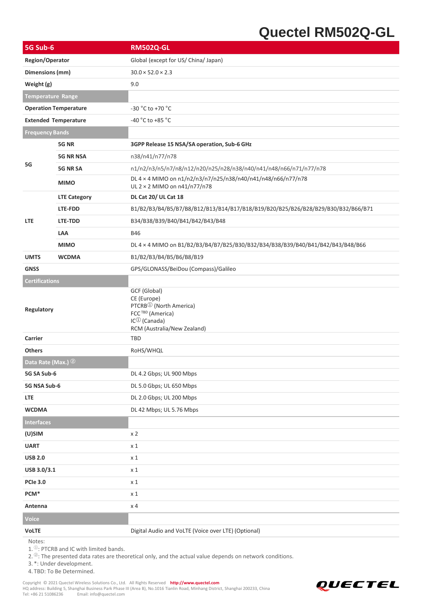## **Quectel RM502Q-GL**

| 5G Sub-6                     |                     | <b>RM502Q-GL</b>                                                                                                                                        |
|------------------------------|---------------------|---------------------------------------------------------------------------------------------------------------------------------------------------------|
| Region/Operator              |                     | Global (except for US/ China/ Japan)                                                                                                                    |
| Dimensions (mm)              |                     | $30.0 \times 52.0 \times 2.3$                                                                                                                           |
| Weight (g)                   |                     | 9.0                                                                                                                                                     |
| <b>Temperature Range</b>     |                     |                                                                                                                                                         |
| <b>Operation Temperature</b> |                     | -30 °C to +70 °C                                                                                                                                        |
| <b>Extended Temperature</b>  |                     | -40 $^{\circ}$ C to +85 $^{\circ}$ C                                                                                                                    |
| <b>Frequency Bands</b>       |                     |                                                                                                                                                         |
| 5G                           | 5G NR               | 3GPP Release 15 NSA/SA operation, Sub-6 GHz                                                                                                             |
|                              | <b>5G NR NSA</b>    | n38/n41/n77/n78                                                                                                                                         |
|                              | 5G NR SA            | n1/n2/n3/n5/n7/n8/n12/n20/n25/n28/n38/n40/n41/n48/n66/n71/n77/n78                                                                                       |
|                              | <b>MIMO</b>         | DL 4 × 4 MIMO on n1/n2/n3/n7/n25/n38/n40/n41/n48/n66/n77/n78<br>UL 2 × 2 MIMO on n41/n77/n78                                                            |
|                              | <b>LTE Category</b> | DL Cat 20/ UL Cat 18                                                                                                                                    |
|                              | LTE-FDD             | B1/B2/B3/B4/B5/B7/B8/B12/B13/B14/B17/B18/B19/B20/B25/B26/B28/B29/B30/B32/B66/B71                                                                        |
| <b>LTE</b>                   | LTE-TDD             | B34/B38/B39/B40/B41/B42/B43/B48                                                                                                                         |
|                              | LAA                 | <b>B46</b>                                                                                                                                              |
|                              | <b>MIMO</b>         | DL 4 × 4 MIMO on B1/B2/B3/B4/B7/B25/B30/B32/B34/B38/B39/B40/B41/B42/B43/B48/B66                                                                         |
| <b>UMTS</b>                  | <b>WCDMA</b>        | B1/B2/B3/B4/B5/B6/B8/B19                                                                                                                                |
| <b>GNSS</b>                  |                     | GPS/GLONASS/BeiDou (Compass)/Galileo                                                                                                                    |
| <b>Certifications</b>        |                     |                                                                                                                                                         |
| Regulatory                   |                     | GCF (Global)<br>CE (Europe)<br>PTCRB <sup>①</sup> (North America)<br>FCC <sup>TBD</sup> (America)<br>$IC^{(1)}$ (Canada)<br>RCM (Australia/New Zealand) |
| Carrier                      |                     | <b>TBD</b>                                                                                                                                              |
| <b>Others</b>                |                     | RoHS/WHQL                                                                                                                                               |
| Data Rate (Max.) 2           |                     |                                                                                                                                                         |
| 5G SA Sub-6                  |                     | DL 4.2 Gbps; UL 900 Mbps                                                                                                                                |
| 5G NSA Sub-6                 |                     | DL 5.0 Gbps; UL 650 Mbps                                                                                                                                |
| LTE                          |                     | DL 2.0 Gbps; UL 200 Mbps                                                                                                                                |
| <b>WCDMA</b>                 |                     | DL 42 Mbps; UL 5.76 Mbps                                                                                                                                |
| <b>Interfaces</b>            |                     |                                                                                                                                                         |
| (U)SIM                       |                     | x <sub>2</sub>                                                                                                                                          |
| <b>UART</b>                  |                     | $x_1$                                                                                                                                                   |
| <b>USB 2.0</b>               |                     | $x_1$                                                                                                                                                   |
| USB 3.0/3.1                  |                     | $x_1$                                                                                                                                                   |
| <b>PCIe 3.0</b>              |                     | $x_1$                                                                                                                                                   |
| PCM*                         |                     | $x_1$                                                                                                                                                   |
| Antenna                      |                     | x <sub>4</sub>                                                                                                                                          |
| Voice                        |                     |                                                                                                                                                         |
| <b>VoLTE</b>                 |                     | Digital Audio and VoLTE (Voice over LTE) (Optional)                                                                                                     |

Notes:

1. <sup>①</sup>: PTCRB and IC with limited bands.

2. <sup>②</sup>: The presented data rates are theoretical only, and the actual value depends on network conditions.

3. \*: Under development.

4. TBD: To Be Determined.

Copyright © 2021 Quectel Wireless Solutions Co., Ltd. All Rights Reserved **[http://www.quectel.com](http://www.quectel.com/)** HQ address: Building 5, Shanghai Business Park Phase III (Area B), No.1016 Tianlin Road, Minhang District, Shanghai 200233, China Tel: +86 21 51086236 Email: info@quectel.com